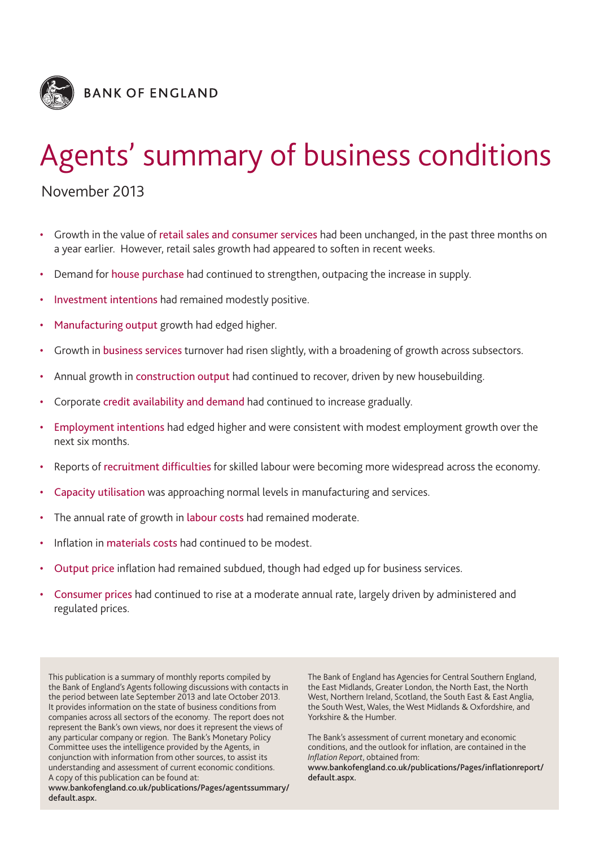

# Agents' summary of business conditions

# November 2013

- Growth in the value of retail sales and consumer services had been unchanged, in the past three months on a year earlier. However, retail sales growth had appeared to soften in recent weeks.
- Demand for house purchase had continued to strengthen, outpacing the increase in supply.
- Investment intentions had remained modestly positive.
- Manufacturing output growth had edged higher.
- Growth in business services turnover had risen slightly, with a broadening of growth across subsectors.
- Annual growth in construction output had continued to recover, driven by new housebuilding.
- Corporate credit availability and demand had continued to increase gradually.
- Employment intentions had edged higher and were consistent with modest employment growth over the next six months.
- Reports of recruitment difficulties for skilled labour were becoming more widespread across the economy.
- Capacity utilisation was approaching normal levels in manufacturing and services.
- The annual rate of growth in labour costs had remained moderate.
- Inflation in materials costs had continued to be modest.
- Output price inflation had remained subdued, though had edged up for business services.
- Consumer prices had continued to rise at a moderate annual rate, largely driven by administered and regulated prices.

This publication is a summary of monthly reports compiled by the Bank of England's Agents following discussions with contacts in the period between late September 2013 and late October 2013. It provides information on the state of business conditions from companies across all sectors of the economy. The report does not represent the Bank's own views, nor does it represent the views of any particular company or region. The Bank's Monetary Policy Committee uses the intelligence provided by the Agents, in conjunction with information from other sources, to assist its understanding and assessment of current economic conditions. A copy of this publication can be found at:

**www.bankofengland.co.uk/publications/Pages/agentssummary/ default.aspx.**

The Bank of England has Agencies for Central Southern England, the East Midlands, Greater London, the North East, the North West, Northern Ireland, Scotland, the South East & East Anglia, the South West, Wales, the West Midlands & Oxfordshire, and Yorkshire & the Humber.

The Bank's assessment of current monetary and economic conditions, and the outlook for inflation, are contained in the *Inflation Report*, obtained from:

**www.bankofengland.co.uk/publications/Pages/inflationreport/ default.aspx.**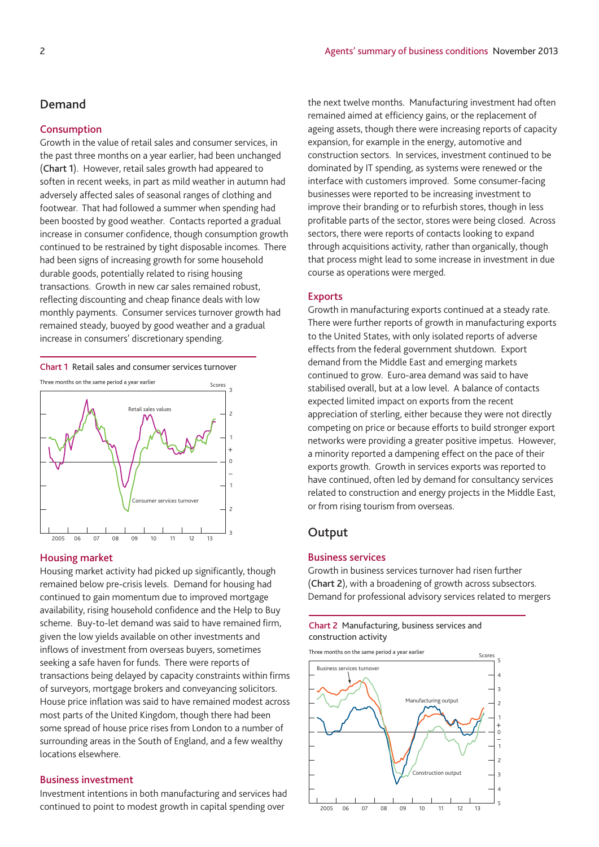### **Demand**

#### **Consumption**

Growth in the value of retail sales and consumer services, in the past three months on a year earlier, had been unchanged (**Chart 1**). However, retail sales growth had appeared to soften in recent weeks, in part as mild weather in autumn had adversely affected sales of seasonal ranges of clothing and footwear. That had followed a summer when spending had been boosted by good weather. Contacts reported a gradual increase in consumer confidence, though consumption growth continued to be restrained by tight disposable incomes. There had been signs of increasing growth for some household durable goods, potentially related to rising housing transactions. Growth in new car sales remained robust, reflecting discounting and cheap finance deals with low monthly payments. Consumer services turnover growth had remained steady, buoyed by good weather and a gradual increase in consumers' discretionary spending.

**Chart 1** Retail sales and consumer services turnover



#### **Housing market**

Housing market activity had picked up significantly, though remained below pre-crisis levels. Demand for housing had continued to gain momentum due to improved mortgage availability, rising household confidence and the Help to Buy scheme. Buy-to-let demand was said to have remained firm, given the low yields available on other investments and inflows of investment from overseas buyers, sometimes seeking a safe haven for funds. There were reports of transactions being delayed by capacity constraints within firms of surveyors, mortgage brokers and conveyancing solicitors. House price inflation was said to have remained modest across most parts of the United Kingdom, though there had been some spread of house price rises from London to a number of surrounding areas in the South of England, and a few wealthy locations elsewhere.

#### **Business investment**

Investment intentions in both manufacturing and services had continued to point to modest growth in capital spending over

the next twelve months. Manufacturing investment had often remained aimed at efficiency gains, or the replacement of ageing assets, though there were increasing reports of capacity expansion, for example in the energy, automotive and construction sectors. In services, investment continued to be dominated by IT spending, as systems were renewed or the interface with customers improved. Some consumer-facing businesses were reported to be increasing investment to improve their branding or to refurbish stores, though in less profitable parts of the sector, stores were being closed. Across sectors, there were reports of contacts looking to expand through acquisitions activity, rather than organically, though that process might lead to some increase in investment in due course as operations were merged.

#### **Exports**

Growth in manufacturing exports continued at a steady rate. There were further reports of growth in manufacturing exports to the United States, with only isolated reports of adverse effects from the federal government shutdown. Export demand from the Middle East and emerging markets continued to grow. Euro-area demand was said to have stabilised overall, but at a low level. A balance of contacts expected limited impact on exports from the recent appreciation of sterling, either because they were not directly competing on price or because efforts to build stronger export networks were providing a greater positive impetus. However, a minority reported a dampening effect on the pace of their exports growth. Growth in services exports was reported to have continued, often led by demand for consultancy services related to construction and energy projects in the Middle East, or from rising tourism from overseas.

#### **Output**

#### **Business services**

Growth in business services turnover had risen further (**Chart 2**), with a broadening of growth across subsectors. Demand for professional advisory services related to mergers

**Chart 2** Manufacturing, business services and construction activity

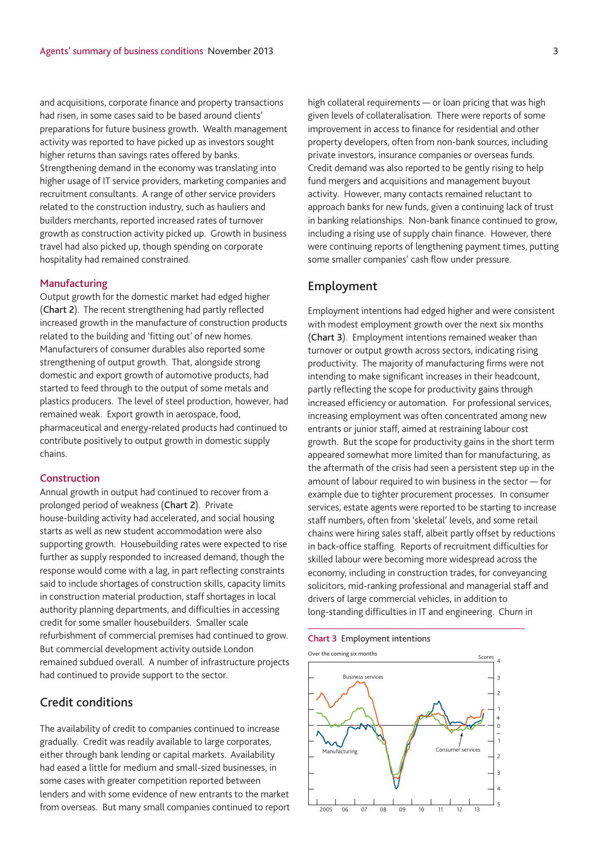and acquisitions, corporate finance and property transactions had risen, in some cases said to be based around clients' preparations for future business growth. Wealth management activity was reported to have picked up as investors sought higher returns than savings rates offered by banks. Strengthening demand in the economy was translating into higher usage of IT service providers, marketing companies and recruitment consultants. A range of other service providers related to the construction industry, such as hauliers and builders merchants, reported increased rates of turnover growth as construction activity picked up. Growth in business travel had also picked up, though spending on corporate hospitality had remained constrained.

#### **Manufacturing**

Output growth for the domestic market had edged higher (**Chart 2**). The recent strengthening had partly reflected increased growth in the manufacture of construction products related to the building and 'fitting out' of new homes. Manufacturers of consumer durables also reported some strengthening of output growth. That, alongside strong domestic and export growth of automotive products, had started to feed through to the output of some metals and plastics producers. The level of steel production, however, had remained weak. Export growth in aerospace, food, pharmaceutical and energy-related products had continued to contribute positively to output growth in domestic supply chains.

#### **Construction**

Annual growth in output had continued to recover from a prolonged period of weakness (**Chart 2**). Private house-building activity had accelerated, and social housing starts as well as new student accommodation were also supporting growth. Housebuilding rates were expected to rise further as supply responded to increased demand, though the response would come with a lag, in part reflecting constraints said to include shortages of construction skills, capacity limits in construction material production, staff shortages in local authority planning departments, and difficulties in accessing credit for some smaller housebuilders. Smaller scale refurbishment of commercial premises had continued to grow. But commercial development activity outside London remained subdued overall. A number of infrastructure projects had continued to provide support to the sector.

# **Credit conditions**

The availability of credit to companies continued to increase gradually. Credit was readily available to large corporates, either through bank lending or capital markets. Availability had eased a little for medium and small-sized businesses, in some cases with greater competition reported between lenders and with some evidence of new entrants to the market from overseas. But many small companies continued to report high collateral requirements — or loan pricing that was high given levels of collateralisation. There were reports of some improvement in access to finance for residential and other property developers, often from non-bank sources, including private investors, insurance companies or overseas funds. Credit demand was also reported to be gently rising to help fund mergers and acquisitions and management buyout activity. However, many contacts remained reluctant to approach banks for new funds, given a continuing lack of trust in banking relationships. Non-bank finance continued to grow, including a rising use of supply chain finance. However, there were continuing reports of lengthening payment times, putting some smaller companies' cash flow under pressure.

## **Employment**

Employment intentions had edged higher and were consistent with modest employment growth over the next six months (**Chart 3**). Employment intentions remained weaker than turnover or output growth across sectors, indicating rising productivity. The majority of manufacturing firms were not intending to make significant increases in their headcount, partly reflecting the scope for productivity gains through increased efficiency or automation. For professional services, increasing employment was often concentrated among new entrants or junior staff, aimed at restraining labour cost growth. But the scope for productivity gains in the short term appeared somewhat more limited than for manufacturing, as the aftermath of the crisis had seen a persistent step up in the amount of labour required to win business in the sector — for example due to tighter procurement processes. In consumer services, estate agents were reported to be starting to increase staff numbers, often from 'skeletal' levels, and some retail chains were hiring sales staff, albeit partly offset by reductions in back-office staffing. Reports of recruitment difficulties for skilled labour were becoming more widespread across the economy, including in construction trades, for conveyancing solicitors, mid-ranking professional and managerial staff and drivers of large commercial vehicles, in addition to long-standing difficulties in IT and engineering. Churn in

#### **Chart 3** Employment intentions